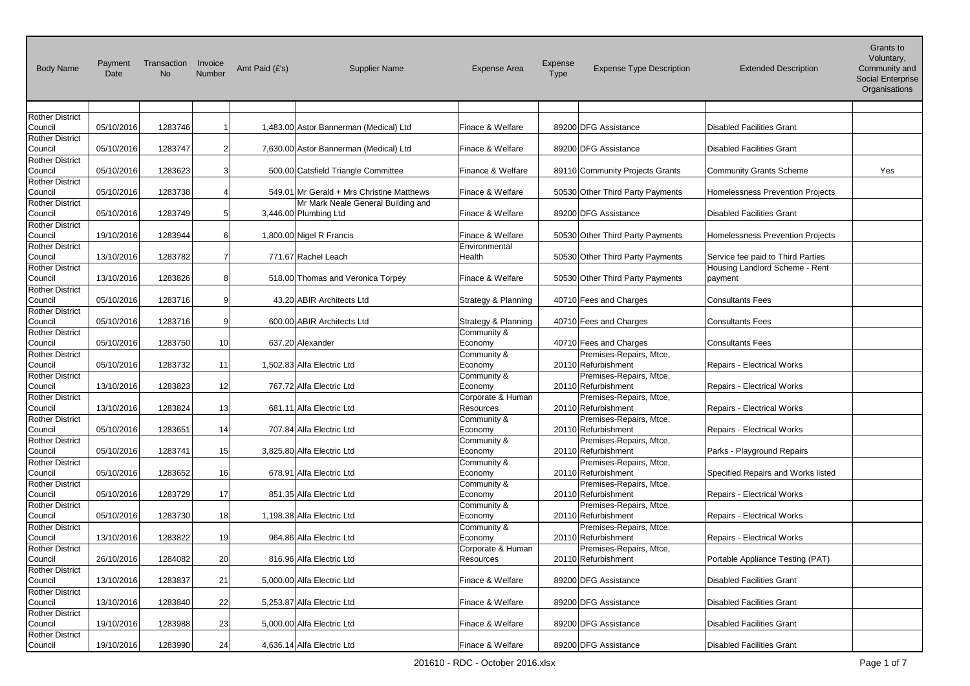| <b>Body Name</b>                  | Payment<br>Date | Transaction<br><b>No</b> | Invoice<br>Number | Amt Paid (£'s) | <b>Supplier Name</b>                      | <b>Expense Area</b>               | Expense<br><b>Type</b> | <b>Expense Type Description</b>                | <b>Extended Description</b>        | uanis lo<br>Voluntary,<br>Community and<br>Social Enterprise<br>Organisations |
|-----------------------------------|-----------------|--------------------------|-------------------|----------------|-------------------------------------------|-----------------------------------|------------------------|------------------------------------------------|------------------------------------|-------------------------------------------------------------------------------|
| <b>Rother District</b><br>Council | 05/10/2016      | 1283746                  |                   |                | 1,483.00 Astor Bannerman (Medical) Ltd    | Finace & Welfare                  |                        | 89200 DFG Assistance                           | <b>Disabled Facilities Grant</b>   |                                                                               |
| <b>Rother District</b>            |                 |                          |                   |                |                                           |                                   |                        |                                                |                                    |                                                                               |
| Council                           | 05/10/2016      | 1283747                  |                   |                | 7,630.00 Astor Bannerman (Medical) Ltd    | Finace & Welfare                  |                        | 89200 DFG Assistance                           | <b>Disabled Facilities Grant</b>   |                                                                               |
| <b>Rother District</b>            |                 |                          |                   |                |                                           |                                   |                        |                                                |                                    |                                                                               |
| Council<br><b>Rother District</b> | 05/10/2016      | 1283623                  |                   |                | 500.00 Catsfield Triangle Committee       | Finance & Welfare                 |                        | 89110 Community Projects Grants                | Community Grants Scheme            | Yes                                                                           |
| Council                           | 05/10/2016      | 1283738                  |                   |                | 549.01 Mr Gerald + Mrs Christine Matthews | Finace & Welfare                  |                        | 50530 Other Third Party Payments               | Homelessness Prevention Projects   |                                                                               |
| <b>Rother District</b>            |                 |                          |                   |                | Mr Mark Neale General Building and        |                                   |                        |                                                |                                    |                                                                               |
| Council                           | 05/10/2016      | 1283749                  |                   |                | 3,446.00 Plumbing Ltd                     | Finace & Welfare                  |                        | 89200 DFG Assistance                           | <b>Disabled Facilities Grant</b>   |                                                                               |
| <b>Rother District</b>            |                 |                          |                   |                |                                           |                                   |                        |                                                |                                    |                                                                               |
| Council<br><b>Rother District</b> | 19/10/2016      | 1283944                  |                   |                | 1,800.00 Nigel R Francis                  | Finace & Welfare<br>Environmental |                        | 50530 Other Third Party Payments               | Homelessness Prevention Projects   |                                                                               |
| Council                           | 13/10/2016      | 1283782                  |                   |                | 771.67 Rachel Leach                       | Health                            |                        | 50530 Other Third Party Payments               | Service fee paid to Third Parties  |                                                                               |
| <b>Rother District</b>            |                 |                          |                   |                |                                           |                                   |                        |                                                | Housing Landlord Scheme - Rent     |                                                                               |
| Council                           | 13/10/2016      | 1283826                  |                   |                | 518.00 Thomas and Veronica Torpey         | Finace & Welfare                  |                        | 50530 Other Third Party Payments               | payment                            |                                                                               |
| <b>Rother District</b>            |                 |                          |                   |                |                                           |                                   |                        |                                                |                                    |                                                                               |
| Council<br><b>Rother District</b> | 05/10/2016      | 1283716                  | 9.                |                | 43.20 ABIR Architects Ltd                 | Strategy & Planning               |                        | 40710 Fees and Charges                         | <b>Consultants Fees</b>            |                                                                               |
| Council                           | 05/10/2016      | 1283716                  | 9                 |                | 600.00 ABIR Architects Ltd                | Strategy & Planning               |                        | 40710 Fees and Charges                         | <b>Consultants Fees</b>            |                                                                               |
| <b>Rother District</b>            |                 |                          |                   |                |                                           | Community &                       |                        |                                                |                                    |                                                                               |
| Council                           | 05/10/2016      | 1283750                  | 10                |                | 637.20 Alexander                          | Economy                           |                        | 40710 Fees and Charges                         | <b>Consultants Fees</b>            |                                                                               |
| <b>Rother District</b>            |                 |                          |                   |                |                                           | Community &                       |                        | Premises-Repairs, Mtce,                        |                                    |                                                                               |
| Council<br><b>Rother District</b> | 05/10/2016      | 1283732                  | 11                |                | 1,502.83 Alfa Electric Ltd                | Economy<br>Community &            |                        | 20110 Refurbishment<br>Premises-Repairs, Mtce, | <b>Repairs - Electrical Works</b>  |                                                                               |
| Council                           | 13/10/2016      | 1283823                  | 12                |                | 767.72 Alfa Electric Ltd                  | Economy                           |                        | 20110 Refurbishment                            | <b>Repairs - Electrical Works</b>  |                                                                               |
| <b>Rother District</b>            |                 |                          |                   |                |                                           | Corporate & Human                 |                        | Premises-Repairs, Mtce,                        |                                    |                                                                               |
| Council                           | 13/10/2016      | 1283824                  | 13                |                | 681.11 Alfa Electric Ltd                  | Resources                         |                        | 20110 Refurbishment                            | <b>Repairs - Electrical Works</b>  |                                                                               |
| <b>Rother District</b>            |                 |                          |                   |                |                                           | Community &                       |                        | Premises-Repairs, Mtce,                        |                                    |                                                                               |
| Council<br><b>Rother District</b> | 05/10/2016      | 1283651                  | 14                |                | 707.84 Alfa Electric Ltd                  | Economy<br>Community &            |                        | 20110 Refurbishment<br>Premises-Repairs, Mtce, | <b>Repairs - Electrical Works</b>  |                                                                               |
| Council                           | 05/10/2016      | 1283741                  | 15                |                | 3,825.80 Alfa Electric Ltd                | Economy                           |                        | 20110 Refurbishment                            | Parks - Playground Repairs         |                                                                               |
| <b>Rother District</b>            |                 |                          |                   |                |                                           | Community &                       |                        | Premises-Repairs, Mtce,                        |                                    |                                                                               |
| Council                           | 05/10/2016      | 1283652                  | 16 <sup>1</sup>   |                | 678.91 Alfa Electric Ltd                  | Economy                           |                        | 20110 Refurbishment                            | Specified Repairs and Works listed |                                                                               |
| <b>Rother District</b>            |                 |                          |                   |                |                                           | Community &                       |                        | Premises-Repairs, Mtce,                        |                                    |                                                                               |
| Council<br><b>Rother District</b> | 05/10/2016      | 1283729                  | 17                |                | 851.35 Alfa Electric Ltd                  | Economy<br>Community &            |                        | 20110 Refurbishment<br>Premises-Repairs, Mtce, | Repairs - Electrical Works         |                                                                               |
| Council                           | 05/10/2016      | 1283730                  | 18                |                | 1,198.38 Alfa Electric Ltd                | Economy                           |                        | 20110 Refurbishment                            | Repairs - Electrical Works         |                                                                               |
| <b>Rother District</b>            |                 |                          |                   |                |                                           | Community &                       |                        | Premises-Repairs, Mtce,                        |                                    |                                                                               |
| Council                           | 13/10/2016      | 1283822                  | 19                |                | 964.86 Alfa Electric Ltd                  | Economy                           |                        | 20110 Refurbishment                            | Repairs - Electrical Works         |                                                                               |
| <b>Rother District</b>            |                 |                          |                   |                |                                           | Corporate & Human                 |                        | Premises-Repairs, Mtce,                        |                                    |                                                                               |
| Council<br><b>Rother District</b> | 26/10/2016      | 1284082                  | 20                |                | 816.96 Alfa Electric Ltd                  | Resources                         |                        | 20110 Refurbishment                            | Portable Appliance Testing (PAT)   |                                                                               |
| Council                           | 13/10/2016      | 1283837                  | 21                |                | 5,000.00 Alfa Electric Ltd                | Finace & Welfare                  |                        | 89200 DFG Assistance                           | <b>Disabled Facilities Grant</b>   |                                                                               |
| <b>Rother District</b>            |                 |                          |                   |                |                                           |                                   |                        |                                                |                                    |                                                                               |
| Council                           | 13/10/2016      | 1283840                  | 22                |                | 5,253.87 Alfa Electric Ltd                | Finace & Welfare                  |                        | 89200 DFG Assistance                           | <b>Disabled Facilities Grant</b>   |                                                                               |
| <b>Rother District</b>            |                 |                          |                   |                |                                           |                                   |                        |                                                |                                    |                                                                               |
| Council<br><b>Rother District</b> | 19/10/2016      | 1283988                  | 23                |                | 5,000.00 Alfa Electric Ltd                | Finace & Welfare                  |                        | 89200 DFG Assistance                           | <b>Disabled Facilities Grant</b>   |                                                                               |
| Council                           | 19/10/2016      | 1283990                  | 24                |                | 4,636.14 Alfa Electric Ltd                | Finace & Welfare                  |                        | 89200 DFG Assistance                           | <b>Disabled Facilities Grant</b>   |                                                                               |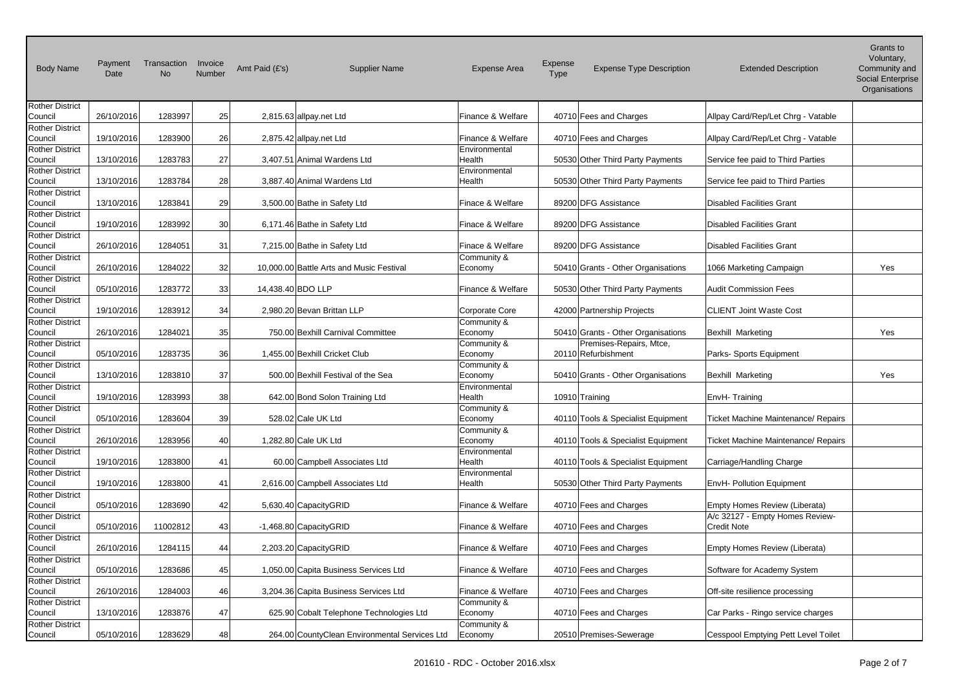| <b>Body Name</b>                                            | Payment<br>Date | Transaction<br><b>No</b> | Invoice<br>Number | Amt Paid (£'s) | <b>Supplier Name</b>                          | <b>Expense Area</b>                    | Expense<br>Type | <b>Expense Type Description</b>                | <b>Extended Description</b>                                      | Grants to<br>Voluntary,<br>Community and<br>Social Enterprise<br>Organisations |
|-------------------------------------------------------------|-----------------|--------------------------|-------------------|----------------|-----------------------------------------------|----------------------------------------|-----------------|------------------------------------------------|------------------------------------------------------------------|--------------------------------------------------------------------------------|
| <b>Rother District</b><br>Council                           | 26/10/2016      | 1283997                  | 25                |                | 2,815.63 allpay.net Ltd                       | Finance & Welfare                      |                 | 40710 Fees and Charges                         | Allpay Card/Rep/Let Chrg - Vatable                               |                                                                                |
| <b>Rother District</b><br>Council                           | 19/10/2016      | 1283900                  | 26                |                | 2,875.42 allpay.net Ltd                       | Finance & Welfare                      |                 | 40710 Fees and Charges                         | Allpay Card/Rep/Let Chrg - Vatable                               |                                                                                |
| <b>Rother District</b><br>Council                           | 13/10/2016      | 1283783                  | 27                |                | 3,407.51 Animal Wardens Ltd                   | Environmental<br>Health                |                 | 50530 Other Third Party Payments               | Service fee paid to Third Parties                                |                                                                                |
| <b>Rother District</b><br>Council                           | 13/10/2016      | 1283784                  | 28                |                | 3,887.40 Animal Wardens Ltd                   | Environmental<br>Health                |                 | 50530 Other Third Party Payments               | Service fee paid to Third Parties                                |                                                                                |
| <b>Rother District</b><br>Council                           | 13/10/2016      | 1283841                  | 29                |                | 3,500.00 Bathe in Safety Ltd                  | Finace & Welfare                       |                 | 89200 DFG Assistance                           | <b>Disabled Facilities Grant</b>                                 |                                                                                |
| <b>Rother District</b><br>Council                           | 19/10/2016      | 1283992                  | 30 <sup>1</sup>   |                | 6,171.46 Bathe in Safety Ltd                  | Finace & Welfare                       |                 | 89200 DFG Assistance                           | Disabled Facilities Grant                                        |                                                                                |
| <b>Rother District</b><br>Council<br><b>Rother District</b> | 26/10/2016      | 1284051                  | 31                |                | 7,215.00 Bathe in Safety Ltd                  | Finace & Welfare<br>Community &        |                 | 89200 DFG Assistance                           | <b>Disabled Facilities Grant</b>                                 |                                                                                |
| Council<br><b>Rother District</b>                           | 26/10/2016      | 1284022                  | 32                |                | 10,000.00 Battle Arts and Music Festival      | Economy                                |                 | 50410 Grants - Other Organisations             | 1066 Marketing Campaign                                          | Yes                                                                            |
| Council                                                     | 05/10/2016      | 1283772                  | 33                |                | 14,438.40 BDO LLP                             | Finance & Welfare                      |                 | 50530 Other Third Party Payments               | <b>Audit Commission Fees</b>                                     |                                                                                |
| <b>Rother District</b><br>Council                           | 19/10/2016      | 1283912                  | 34                |                | 2,980.20 Bevan Brittan LLP                    | Corporate Core                         |                 | 42000 Partnership Projects                     | <b>CLIENT Joint Waste Cost</b>                                   |                                                                                |
| <b>Rother District</b><br>Council                           | 26/10/2016      | 1284021                  | 35                |                | 750.00 Bexhill Carnival Committee             | Community &<br>Economy                 |                 | 50410 Grants - Other Organisations             | Bexhill Marketing                                                | Yes                                                                            |
| <b>Rother District</b><br>Council                           | 05/10/2016      | 1283735                  | 36                |                | 1,455.00 Bexhill Cricket Club                 | Community &<br>Economy                 |                 | Premises-Repairs, Mtce,<br>20110 Refurbishment | Parks- Sports Equipment                                          |                                                                                |
| <b>Rother District</b><br>Council                           | 13/10/2016      | 1283810                  | 37                |                | 500.00 Bexhill Festival of the Sea            | Community &<br>Economy                 |                 | 50410 Grants - Other Organisations             | Bexhill Marketing                                                | Yes                                                                            |
| <b>Rother District</b><br>Council<br><b>Rother District</b> | 19/10/2016      | 1283993                  | 38                |                | 642.00 Bond Solon Training Ltd                | Environmental<br>Health<br>Community & |                 | 10910 Training                                 | EnvH-Training                                                    |                                                                                |
| Council<br><b>Rother District</b>                           | 05/10/2016      | 1283604                  | 39                |                | $528.02$ Cale UK Ltd                          | Economy<br>Community &                 |                 | 40110 Tools & Specialist Equipment             | <b>Ticket Machine Maintenance/ Repairs</b>                       |                                                                                |
| Council<br><b>Rother District</b>                           | 26/10/2016      | 1283956                  | 40                |                | 1,282.80 Cale UK Ltd                          | Economy<br>Environmental               |                 | 40110 Tools & Specialist Equipment             | Ticket Machine Maintenance/ Repairs                              |                                                                                |
| Council<br><b>Rother District</b>                           | 19/10/2016      | 1283800                  | 41                |                | 60.00 Campbell Associates Ltd                 | Health<br>Environmental                |                 | 40110 Tools & Specialist Equipment             | Carriage/Handling Charge                                         |                                                                                |
| Council<br><b>Rother District</b>                           | 19/10/2016      | 1283800                  | 41                |                | 2,616.00 Campbell Associates Ltd              | Health                                 |                 | 50530 Other Third Party Payments               | EnvH- Pollution Equipment                                        |                                                                                |
| Council<br><b>Rother District</b>                           | 05/10/2016      | 1283690                  | 42                |                | 5,630.40 CapacityGRID                         | Finance & Welfare                      |                 | 40710 Fees and Charges                         | Empty Homes Review (Liberata)<br>A/c 32127 - Empty Homes Review- |                                                                                |
| Council<br><b>Rother District</b>                           | 05/10/2016      | 11002812                 | 43                |                | -1,468.80 CapacityGRID                        | Finance & Welfare                      |                 | 40710 Fees and Charges                         | <b>Credit Note</b>                                               |                                                                                |
| Council<br><b>Rother District</b>                           | 26/10/2016      | 1284115                  | 44                |                | 2,203.20 CapacityGRID                         | Finance & Welfare                      |                 | 40710 Fees and Charges                         | Empty Homes Review (Liberata)                                    |                                                                                |
| Council<br><b>Rother District</b>                           | 05/10/2016      | 1283686                  | 45                |                | 1,050.00 Capita Business Services Ltd         | Finance & Welfare                      |                 | 40710 Fees and Charges                         | Software for Academy System                                      |                                                                                |
| Council<br><b>Rother District</b>                           | 26/10/2016      | 1284003                  | 46                |                | 3,204.36 Capita Business Services Ltd         | Finance & Welfare<br>Community &       |                 | 40710 Fees and Charges                         | Off-site resilience processing                                   |                                                                                |
| Council<br><b>Rother District</b>                           | 13/10/2016      | 1283876                  | 47                |                | 625.90 Cobalt Telephone Technologies Ltd      | Economy<br>Community &                 |                 | 40710 Fees and Charges                         | Car Parks - Ringo service charges                                |                                                                                |
| Council                                                     | 05/10/2016      | 1283629                  | 48                |                | 264.00 CountyClean Environmental Services Ltd | Economy                                |                 | 20510 Premises-Sewerage                        | Cesspool Emptying Pett Level Toilet                              |                                                                                |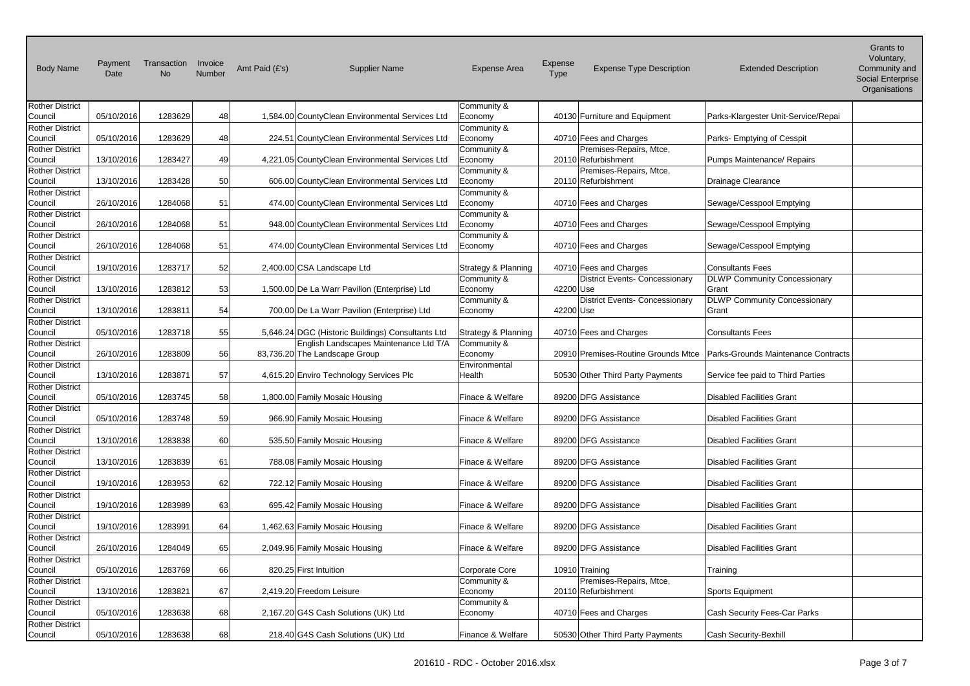| <b>Body Name</b>                  | Payment<br>Date | Transaction<br><b>No</b> | Invoice<br>Number | Amt Paid (£'s)<br><b>Supplier Name</b>            | <b>Expense Area</b>                | <b>Expense</b><br><b>Type</b> | <b>Expense Type Description</b>       | <b>Extended Description</b>         | Granis lu<br>Voluntary,<br>Community and<br><b>Social Enterprise</b><br>Organisations |
|-----------------------------------|-----------------|--------------------------|-------------------|---------------------------------------------------|------------------------------------|-------------------------------|---------------------------------------|-------------------------------------|---------------------------------------------------------------------------------------|
| <b>Rother District</b>            |                 |                          |                   |                                                   | Community &                        |                               |                                       |                                     |                                                                                       |
| Council<br><b>Rother District</b> | 05/10/2016      | 1283629                  | 48                | 1,584.00 CountyClean Environmental Services Ltd   | Economy                            |                               | 40130 Furniture and Equipment         | Parks-Klargester Unit-Service/Repai |                                                                                       |
| Council                           | 05/10/2016      | 1283629                  | 48                | 224.51 CountyClean Environmental Services Ltd     | Community &<br>Economy             |                               | 40710 Fees and Charges                | Parks- Emptying of Cesspit          |                                                                                       |
| <b>Rother District</b>            |                 |                          |                   |                                                   | Community &                        |                               | Premises-Repairs, Mtce,               |                                     |                                                                                       |
| Council                           | 13/10/2016      | 1283427                  | 49                | 4,221.05 CountyClean Environmental Services Ltd   | Economy                            |                               | 20110 Refurbishment                   | Pumps Maintenance/ Repairs          |                                                                                       |
| <b>Rother District</b>            |                 |                          |                   |                                                   | Community &                        |                               | Premises-Repairs, Mtce,               |                                     |                                                                                       |
| Council                           | 13/10/2016      | 1283428                  | 50                | 606.00 CountyClean Environmental Services Ltd     | Economy                            |                               | 20110 Refurbishment                   | Drainage Clearance                  |                                                                                       |
| <b>Rother District</b>            |                 |                          |                   |                                                   | Community &                        |                               |                                       |                                     |                                                                                       |
| Council                           | 26/10/2016      | 1284068                  | 51                | 474.00 CountyClean Environmental Services Ltd     | Economy                            |                               | 40710 Fees and Charges                | Sewage/Cesspool Emptying            |                                                                                       |
| <b>Rother District</b><br>Council | 26/10/2016      | 1284068                  | 51                | 948.00 CountyClean Environmental Services Ltd     | Community &<br>Economy             |                               | 40710 Fees and Charges                | Sewage/Cesspool Emptying            |                                                                                       |
| <b>Rother District</b>            |                 |                          |                   |                                                   | Community &                        |                               |                                       |                                     |                                                                                       |
| Council                           | 26/10/2016      | 1284068                  | 51                | 474.00 CountyClean Environmental Services Ltd     | Economy                            |                               | 40710 Fees and Charges                | Sewage/Cesspool Emptying            |                                                                                       |
| <b>Rother District</b>            |                 |                          |                   |                                                   |                                    |                               |                                       |                                     |                                                                                       |
| Council                           | 19/10/2016      | 1283717                  | 52                | 2,400.00 CSA Landscape Ltd                        | Strategy & Planning                |                               | 40710 Fees and Charges                | <b>Consultants Fees</b>             |                                                                                       |
| <b>Rother District</b>            |                 |                          |                   |                                                   | Community &                        |                               | <b>District Events- Concessionary</b> | <b>DLWP Community Concessionary</b> |                                                                                       |
| Council                           | 13/10/2016      | 1283812                  | 53                | 1,500.00 De La Warr Pavilion (Enterprise) Ltd     | Economy                            | 42200 Use                     |                                       | Grant                               |                                                                                       |
| <b>Rother District</b>            |                 |                          |                   |                                                   | Community &                        |                               | <b>District Events- Concessionary</b> | <b>DLWP Community Concessionary</b> |                                                                                       |
| Council                           | 13/10/2016      | 1283811                  | 54                | 700.00 De La Warr Pavilion (Enterprise) Ltd       | Economy                            | 42200 Use                     |                                       | Grant                               |                                                                                       |
| <b>Rother District</b><br>Council | 05/10/2016      | 1283718                  |                   | 5,646.24 DGC (Historic Buildings) Consultants Ltd |                                    |                               | 40710 Fees and Charges                | <b>Consultants Fees</b>             |                                                                                       |
| <b>Rother District</b>            |                 |                          | 55                | English Landscapes Maintenance Ltd T/A            | Strategy & Planning<br>Community & |                               |                                       |                                     |                                                                                       |
| Council                           | 26/10/2016      | 1283809                  | 56                | 83,736.20 The Landscape Group                     | Economy                            |                               | 20910 Premises-Routine Grounds Mtce   | Parks-Grounds Maintenance Contracts |                                                                                       |
| <b>Rother District</b>            |                 |                          |                   |                                                   | Environmental                      |                               |                                       |                                     |                                                                                       |
| Council                           | 13/10/2016      | 1283871                  | 57                | 4,615.20 Enviro Technology Services Plc           | Health                             |                               | 50530 Other Third Party Payments      | Service fee paid to Third Parties   |                                                                                       |
| <b>Rother District</b>            |                 |                          |                   |                                                   |                                    |                               |                                       |                                     |                                                                                       |
| Council                           | 05/10/2016      | 1283745                  | 58                | 1,800.00 Family Mosaic Housing                    | Finace & Welfare                   |                               | 89200 DFG Assistance                  | <b>Disabled Facilities Grant</b>    |                                                                                       |
| <b>Rother District</b>            |                 |                          |                   |                                                   |                                    |                               |                                       |                                     |                                                                                       |
| Council                           | 05/10/2016      | 1283748                  | 59                | 966.90 Family Mosaic Housing                      | Finace & Welfare                   |                               | 89200 DFG Assistance                  | <b>Disabled Facilities Grant</b>    |                                                                                       |
| <b>Rother District</b><br>Council | 13/10/2016      | 1283838                  | 60                | 535.50 Family Mosaic Housing                      | Finace & Welfare                   |                               | 89200 DFG Assistance                  | <b>Disabled Facilities Grant</b>    |                                                                                       |
| <b>Rother District</b>            |                 |                          |                   |                                                   |                                    |                               |                                       |                                     |                                                                                       |
| Council                           | 13/10/2016      | 1283839                  | 61                | 788.08 Family Mosaic Housing                      | Finace & Welfare                   |                               | 89200 DFG Assistance                  | <b>Disabled Facilities Grant</b>    |                                                                                       |
| <b>Rother District</b>            |                 |                          |                   |                                                   |                                    |                               |                                       |                                     |                                                                                       |
| Council                           | 19/10/2016      | 1283953                  | 62                | 722.12 Family Mosaic Housing                      | Finace & Welfare                   |                               | 89200 DFG Assistance                  | <b>Disabled Facilities Grant</b>    |                                                                                       |
| <b>Rother District</b>            |                 |                          |                   |                                                   |                                    |                               |                                       |                                     |                                                                                       |
| Council                           | 19/10/2016      | 1283989                  | 63                | 695.42 Family Mosaic Housing                      | Finace & Welfare                   |                               | 89200 DFG Assistance                  | <b>Disabled Facilities Grant</b>    |                                                                                       |
| <b>Rother District</b><br>Council | 19/10/2016      | 1283991                  |                   | 1,462.63 Family Mosaic Housing                    | Finace & Welfare                   |                               | 89200 DFG Assistance                  | <b>Disabled Facilities Grant</b>    |                                                                                       |
| <b>Rother District</b>            |                 |                          | 64                |                                                   |                                    |                               |                                       |                                     |                                                                                       |
| Council                           | 26/10/2016      | 1284049                  | 65                | 2,049.96 Family Mosaic Housing                    | Finace & Welfare                   |                               | 89200 DFG Assistance                  | <b>Disabled Facilities Grant</b>    |                                                                                       |
| <b>Rother District</b>            |                 |                          |                   |                                                   |                                    |                               |                                       |                                     |                                                                                       |
| Council                           | 05/10/2016      | 1283769                  | 66                | 820.25 First Intuition                            | Corporate Core                     |                               | 10910 Training                        | Training                            |                                                                                       |
| <b>Rother District</b>            |                 |                          |                   |                                                   | Community &                        |                               | Premises-Repairs, Mtce,               |                                     |                                                                                       |
| Council                           | 13/10/2016      | 1283821                  | 67                | 2,419.20 Freedom Leisure                          | Economy                            |                               | 20110 Refurbishment                   | Sports Equipment                    |                                                                                       |
| <b>Rother District</b>            |                 |                          |                   |                                                   | Community &                        |                               |                                       |                                     |                                                                                       |
| Council                           | 05/10/2016      | 1283638                  | 68                | 2,167.20 G4S Cash Solutions (UK) Ltd              | Economy                            |                               | 40710 Fees and Charges                | Cash Security Fees-Car Parks        |                                                                                       |
| <b>Rother District</b><br>Council | 05/10/2016      | 1283638                  | 68                | 218.40 G4S Cash Solutions (UK) Ltd                | Finance & Welfare                  |                               | 50530 Other Third Party Payments      | Cash Security-Bexhill               |                                                                                       |
|                                   |                 |                          |                   |                                                   |                                    |                               |                                       |                                     |                                                                                       |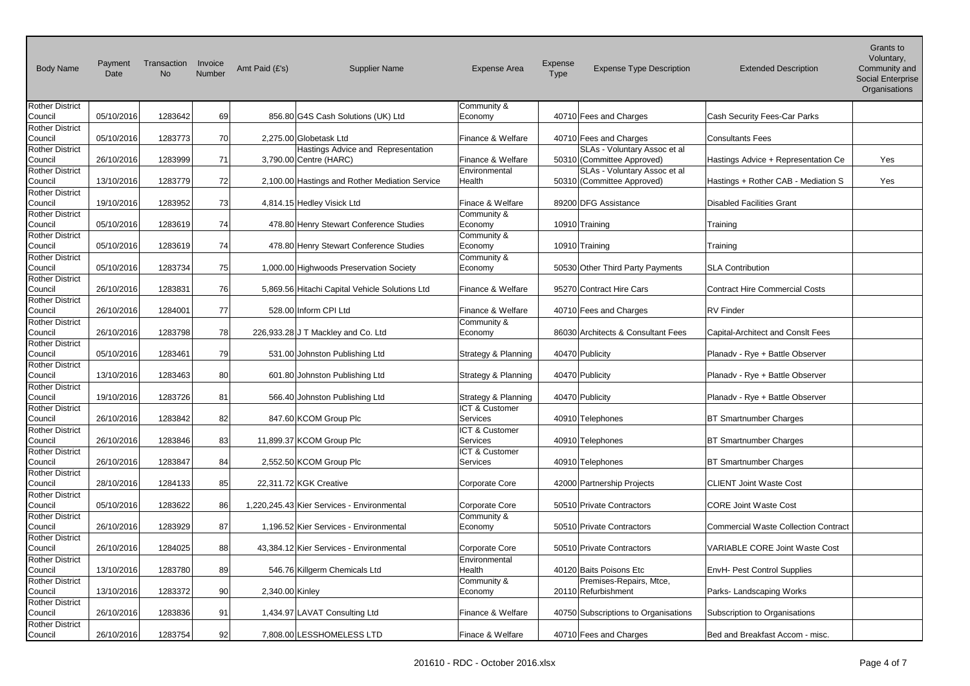| <b>Body Name</b>                  | Payment<br>Date | Transaction<br><b>No</b> | Invoice<br>Number | Amt Paid (£'s)<br><b>Supplier Name</b>         | <b>Expense Area</b>             | Expense<br><b>Type</b> | <b>Expense Type Description</b>                | <b>Extended Description</b>           | Gians lu<br>Voluntary,<br>Community and<br><b>Social Enterprise</b><br>Organisations |
|-----------------------------------|-----------------|--------------------------|-------------------|------------------------------------------------|---------------------------------|------------------------|------------------------------------------------|---------------------------------------|--------------------------------------------------------------------------------------|
| <b>Rother District</b>            |                 |                          |                   |                                                | Community &                     |                        |                                                |                                       |                                                                                      |
| Council<br><b>Rother District</b> | 05/10/2016      | 1283642                  | 69                | 856.80 G4S Cash Solutions (UK) Ltd             | Economy                         |                        | 40710 Fees and Charges                         | Cash Security Fees-Car Parks          |                                                                                      |
| Council                           | 05/10/2016      | 1283773                  | 70                | 2,275.00 Globetask Ltd                         | Finance & Welfare               |                        | 40710 Fees and Charges                         | <b>Consultants Fees</b>               |                                                                                      |
| <b>Rother District</b>            |                 |                          |                   | Hastings Advice and Representation             |                                 |                        | SLAs - Voluntary Assoc et al                   |                                       |                                                                                      |
| Council                           | 26/10/2016      | 1283999                  | 71                | 3,790.00 Centre (HARC)                         | Finance & Welfare               |                        | 50310 (Committee Approved)                     | Hastings Advice + Representation Ce   | Yes                                                                                  |
| <b>Rother District</b>            |                 |                          |                   |                                                | Environmental                   |                        | SLAs - Voluntary Assoc et al                   |                                       |                                                                                      |
| Council                           | 13/10/2016      | 1283779                  | 72                | 2,100.00 Hastings and Rother Mediation Service | Health                          |                        | 50310 (Committee Approved)                     | Hastings + Rother CAB - Mediation S   | Yes                                                                                  |
| <b>Rother District</b>            |                 |                          |                   |                                                |                                 |                        |                                                |                                       |                                                                                      |
| Council<br><b>Rother District</b> | 19/10/2016      | 1283952                  | 73                | 4,814.15 Hedley Visick Ltd                     | Finace & Welfare<br>Community & |                        | 89200 DFG Assistance                           | <b>Disabled Facilities Grant</b>      |                                                                                      |
| Council                           | 05/10/2016      | 1283619                  | 74                | 478.80 Henry Stewart Conference Studies        | Economy                         |                        | 10910 Training                                 | Training                              |                                                                                      |
| <b>Rother District</b>            |                 |                          |                   |                                                | Community &                     |                        |                                                |                                       |                                                                                      |
| Council                           | 05/10/2016      | 1283619                  | 74                | 478.80 Henry Stewart Conference Studies        | Economy                         |                        | 10910 Training                                 | Training                              |                                                                                      |
| <b>Rother District</b>            |                 |                          |                   |                                                | Community &                     |                        |                                                |                                       |                                                                                      |
| Council                           | 05/10/2016      | 1283734                  | 75                | 1,000.00 Highwoods Preservation Society        | Economy                         |                        | 50530 Other Third Party Payments               | <b>SLA Contribution</b>               |                                                                                      |
| <b>Rother District</b>            |                 |                          |                   |                                                |                                 |                        |                                                |                                       |                                                                                      |
| Council                           | 26/10/2016      | 1283831                  | 76                | 5,869.56 Hitachi Capital Vehicle Solutions Ltd | Finance & Welfare               |                        | 95270 Contract Hire Cars                       | Contract Hire Commercial Costs        |                                                                                      |
| <b>Rother District</b><br>Council | 26/10/2016      | 1284001                  | 77                | 528.00 Inform CPI Ltd                          | Finance & Welfare               |                        | 40710 Fees and Charges                         | <b>RV</b> Finder                      |                                                                                      |
| <b>Rother District</b>            |                 |                          |                   |                                                | Community &                     |                        |                                                |                                       |                                                                                      |
| Council                           | 26/10/2016      | 1283798                  | 78                | 226,933.28 J T Mackley and Co. Ltd             | Economy                         |                        | 86030 Architects & Consultant Fees             | Capital-Architect and Consit Fees     |                                                                                      |
| <b>Rother District</b>            |                 |                          |                   |                                                |                                 |                        |                                                |                                       |                                                                                      |
| Council                           | 05/10/2016      | 1283461                  | 79                | 531.00 Johnston Publishing Ltd                 | Strategy & Planning             |                        | 40470 Publicity                                | Planady - Rye + Battle Observer       |                                                                                      |
| <b>Rother District</b>            |                 |                          |                   |                                                |                                 |                        |                                                |                                       |                                                                                      |
| Council                           | 13/10/2016      | 1283463                  | 80                | 601.80 Johnston Publishing Ltd                 | <b>Strategy &amp; Planning</b>  |                        | 40470 Publicity                                | Planadv - Rye + Battle Observer       |                                                                                      |
| <b>Rother District</b><br>Council | 19/10/2016      | 1283726                  | 81                | 566.40 Johnston Publishing Ltd                 | Strategy & Planning             |                        | 40470 Publicity                                | Planadv - Rye + Battle Observer       |                                                                                      |
| <b>Rother District</b>            |                 |                          |                   |                                                | ICT & Customer                  |                        |                                                |                                       |                                                                                      |
| Council                           | 26/10/2016      | 1283842                  | 82                | 847.60 KCOM Group Plc                          | <b>Services</b>                 |                        | 40910 Telephones                               | <b>BT Smartnumber Charges</b>         |                                                                                      |
| <b>Rother District</b>            |                 |                          |                   |                                                | ICT & Customer                  |                        |                                                |                                       |                                                                                      |
| Council                           | 26/10/2016      | 1283846                  | 83                | 11,899.37 KCOM Group Plc                       | Services                        |                        | 40910 Telephones                               | <b>BT Smartnumber Charges</b>         |                                                                                      |
| <b>Rother District</b>            |                 |                          |                   |                                                | ICT & Customer                  |                        |                                                |                                       |                                                                                      |
| Council                           | 26/10/2016      | 1283847                  | 84                | 2,552.50 KCOM Group Plc                        | Services                        |                        | 40910 Telephones                               | <b>BT Smartnumber Charges</b>         |                                                                                      |
| <b>Rother District</b>            | 28/10/2016      |                          |                   |                                                | Corporate Core                  |                        |                                                |                                       |                                                                                      |
| Council<br><b>Rother District</b> |                 | 1284133                  | 85                | 22,311.72 KGK Creative                         |                                 |                        | 42000 Partnership Projects                     | <b>CLIENT Joint Waste Cost</b>        |                                                                                      |
| Council                           | 05/10/2016      | 1283622                  | 86                | 1,220,245.43 Kier Services - Environmental     | Corporate Core                  |                        | 50510 Private Contractors                      | CORE Joint Waste Cost                 |                                                                                      |
| <b>Rother District</b>            |                 |                          |                   |                                                | Community &                     |                        |                                                |                                       |                                                                                      |
| Council                           | 26/10/2016      | 1283929                  | 87                | 1,196.52 Kier Services - Environmental         | Economy                         |                        | 50510 Private Contractors                      | Commercial Waste Collection Contract  |                                                                                      |
| <b>Rother District</b>            |                 |                          |                   |                                                |                                 |                        |                                                |                                       |                                                                                      |
| Council                           | 26/10/2016      | 1284025                  | 88                | 43,384.12 Kier Services - Environmental        | Corporate Core                  |                        | 50510 Private Contractors                      | <b>VARIABLE CORE Joint Waste Cost</b> |                                                                                      |
| <b>Rother District</b>            |                 |                          |                   |                                                | Environmental                   |                        |                                                |                                       |                                                                                      |
| Council                           | 13/10/2016      | 1283780                  | 89                | 546.76 Killgerm Chemicals Ltd                  | Health                          |                        | 40120 Baits Poisons Etc                        | <b>EnvH- Pest Control Supplies</b>    |                                                                                      |
| <b>Rother District</b><br>Council | 13/10/2016      | 1283372                  | 90                | 2,340.00 Kinley                                | Community &<br>Economy          |                        | Premises-Repairs, Mtce,<br>20110 Refurbishment | Parks-Landscaping Works               |                                                                                      |
| <b>Rother District</b>            |                 |                          |                   |                                                |                                 |                        |                                                |                                       |                                                                                      |
| Council                           | 26/10/2016      | 1283836                  | 91                | 1,434.97 LAVAT Consulting Ltd                  | Finance & Welfare               |                        | 40750 Subscriptions to Organisations           | Subscription to Organisations         |                                                                                      |
| <b>Rother District</b>            |                 |                          |                   |                                                |                                 |                        |                                                |                                       |                                                                                      |
| Council                           | 26/10/2016      | 1283754                  | 92                | 7,808.00 LESSHOMELESS LTD                      | Finace & Welfare                |                        | 40710 Fees and Charges                         | Bed and Breakfast Accom - misc.       |                                                                                      |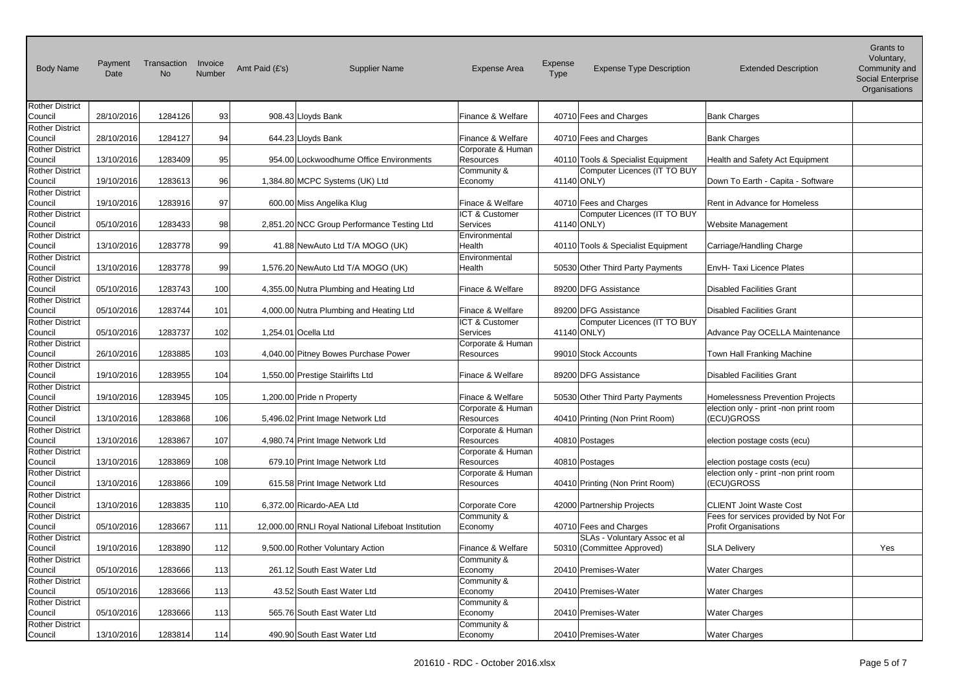| <b>Body Name</b>                  | Payment<br>Date | Transaction<br><b>No</b> | Invoice<br>Number | Amt Paid (£'s) | <b>Supplier Name</b>                               | <b>Expense Area</b>                   | <b>Expense</b><br><b>Type</b> | <b>Expense Type Description</b>                                    | <b>Extended Description</b>           | Gianis lu<br>Voluntary,<br>Community and<br>Social Enterprise<br>Organisations |
|-----------------------------------|-----------------|--------------------------|-------------------|----------------|----------------------------------------------------|---------------------------------------|-------------------------------|--------------------------------------------------------------------|---------------------------------------|--------------------------------------------------------------------------------|
| <b>Rother District</b><br>Council | 28/10/2016      | 1284126                  | 93                |                | 908.43 Lloyds Bank                                 | Finance & Welfare                     |                               | 40710 Fees and Charges                                             | <b>Bank Charges</b>                   |                                                                                |
| <b>Rother District</b>            |                 |                          |                   |                |                                                    |                                       |                               |                                                                    |                                       |                                                                                |
| Council                           | 28/10/2016      | 1284127                  | 94                |                | 644.23 Lloyds Bank                                 | Finance & Welfare                     |                               | 40710 Fees and Charges                                             | <b>Bank Charges</b>                   |                                                                                |
| <b>Rother District</b><br>Council |                 |                          |                   |                | 954.00 Lockwoodhume Office Environments            | Corporate & Human                     |                               |                                                                    |                                       |                                                                                |
| <b>Rother District</b>            | 13/10/2016      | 1283409                  | 95                |                |                                                    | <b>Resources</b><br>Community &       |                               | 40110 Tools & Specialist Equipment<br>Computer Licences (IT TO BUY | Health and Safety Act Equipment       |                                                                                |
| Council                           | 19/10/2016      | 1283613                  | 96                |                | 1,384.80 MCPC Systems (UK) Ltd                     | Economy                               |                               | 41140 ONLY)                                                        | Down To Earth - Capita - Software     |                                                                                |
| <b>Rother District</b>            |                 |                          |                   |                |                                                    |                                       |                               |                                                                    |                                       |                                                                                |
| Council                           | 19/10/2016      | 1283916                  | 97                |                | 600.00 Miss Angelika Klug                          | Finace & Welfare                      |                               | 40710 Fees and Charges                                             | Rent in Advance for Homeless          |                                                                                |
| <b>Rother District</b>            |                 |                          |                   |                |                                                    | ICT & Customer<br>Services            |                               | Computer Licences (IT TO BUY                                       |                                       |                                                                                |
| Council<br><b>Rother District</b> | 05/10/2016      | 1283433                  | 98                |                | 2,851.20 NCC Group Performance Testing Ltd         | Environmental                         |                               | 41140 ONLY)                                                        | Website Management                    |                                                                                |
| Council                           | 13/10/2016      | 1283778                  | 99                |                | 41.88 NewAuto Ltd T/A MOGO (UK)                    | Health                                |                               | 40110 Tools & Specialist Equipment                                 | Carriage/Handling Charge              |                                                                                |
| <b>Rother District</b>            |                 |                          |                   |                |                                                    | Environmental                         |                               |                                                                    |                                       |                                                                                |
| Council                           | 13/10/2016      | 1283778                  | 99                |                | 1,576.20 NewAuto Ltd T/A MOGO (UK)                 | Health                                |                               | 50530 Other Third Party Payments                                   | EnvH- Taxi Licence Plates             |                                                                                |
| <b>Rother District</b>            |                 |                          |                   |                |                                                    |                                       |                               |                                                                    |                                       |                                                                                |
| Council<br><b>Rother District</b> | 05/10/2016      | 1283743                  | 100               |                | 4,355.00 Nutra Plumbing and Heating Ltd            | Finace & Welfare                      |                               | 89200 DFG Assistance                                               | <b>Disabled Facilities Grant</b>      |                                                                                |
| Council                           | 05/10/2016      | 1283744                  | 101               |                | 4,000.00 Nutra Plumbing and Heating Ltd            | Finace & Welfare                      |                               | 89200 DFG Assistance                                               | <b>Disabled Facilities Grant</b>      |                                                                                |
| <b>Rother District</b>            |                 |                          |                   |                |                                                    | ICT & Customer                        |                               | Computer Licences (IT TO BUY                                       |                                       |                                                                                |
| Council                           | 05/10/2016      | 1283737                  | 102               |                | 1,254.01 Ocella Ltd                                | Services                              |                               | 41140 ONLY)                                                        | Advance Pay OCELLA Maintenance        |                                                                                |
| <b>Rother District</b>            |                 |                          |                   |                |                                                    | Corporate & Human                     |                               |                                                                    |                                       |                                                                                |
| Council<br><b>Rother District</b> | 26/10/2016      | 1283885                  | 103               |                | 4,040.00 Pitney Bowes Purchase Power               | <b>Resources</b>                      |                               | 99010 Stock Accounts                                               | Town Hall Franking Machine            |                                                                                |
| Council                           | 19/10/2016      | 1283955                  | 104               |                | 1,550.00 Prestige Stairlifts Ltd                   | Finace & Welfare                      |                               | 89200 DFG Assistance                                               | <b>Disabled Facilities Grant</b>      |                                                                                |
| <b>Rother District</b>            |                 |                          |                   |                |                                                    |                                       |                               |                                                                    |                                       |                                                                                |
| Council                           | 19/10/2016      | 1283945                  | 105               |                | 1,200.00 Pride n Property                          | Finace & Welfare                      |                               | 50530 Other Third Party Payments                                   | Homelessness Prevention Projects      |                                                                                |
| <b>Rother District</b>            |                 |                          |                   |                |                                                    | Corporate & Human                     |                               |                                                                    | election only - print -non print room |                                                                                |
| Council                           | 13/10/2016      | 1283868                  | 106               |                | 5,496.02 Print Image Network Ltd                   | Resources                             |                               | 40410 Printing (Non Print Room)                                    | (ECU)GROSS                            |                                                                                |
| <b>Rother District</b><br>Council | 13/10/2016      | 1283867                  | 107               |                | 4,980.74 Print Image Network Ltd                   | Corporate & Human<br><b>Resources</b> |                               | 40810 Postages                                                     | election postage costs (ecu)          |                                                                                |
| <b>Rother District</b>            |                 |                          |                   |                |                                                    | Corporate & Human                     |                               |                                                                    |                                       |                                                                                |
| Council                           | 13/10/2016      | 1283869                  | 108               |                | 679.10 Print Image Network Ltd                     | Resources                             |                               | 40810 Postages                                                     | election postage costs (ecu)          |                                                                                |
| <b>Rother District</b>            |                 |                          |                   |                |                                                    | Corporate & Human                     |                               |                                                                    | election only - print -non print room |                                                                                |
| Council                           | 13/10/2016      | 1283866                  | 109               |                | 615.58 Print Image Network Ltd                     | Resources                             |                               | 40410 Printing (Non Print Room)                                    | (ECU)GROSS                            |                                                                                |
| <b>Rother District</b><br>Council | 13/10/2016      | 1283835                  | 110               |                | 6,372.00 Ricardo-AEA Ltd                           | Corporate Core                        |                               | 42000 Partnership Projects                                         | <b>CLIENT Joint Waste Cost</b>        |                                                                                |
| <b>Rother District</b>            |                 |                          |                   |                |                                                    | Community &                           |                               |                                                                    | Fees for services provided by Not For |                                                                                |
| Council                           | 05/10/2016      | 1283667                  | 111               |                | 12,000.00 RNLI Royal National Lifeboat Institution | Economy                               |                               | 40710 Fees and Charges                                             | <b>Profit Organisations</b>           |                                                                                |
| <b>Rother District</b>            |                 |                          |                   |                |                                                    |                                       |                               | SLAs - Voluntary Assoc et al                                       |                                       |                                                                                |
| Council                           | 19/10/2016      | 1283890                  | 112               |                | 9,500.00 Rother Voluntary Action                   | Finance & Welfare                     |                               | 50310 (Committee Approved)                                         | <b>SLA Delivery</b>                   | Yes                                                                            |
| <b>Rother District</b><br>Council | 05/10/2016      |                          |                   |                | 261.12 South East Water Ltd                        | Community &                           |                               | 20410 Premises-Water                                               |                                       |                                                                                |
| <b>Rother District</b>            |                 | 1283666                  | 113               |                |                                                    | Economy<br>Community &                |                               |                                                                    | <b>Water Charges</b>                  |                                                                                |
| Council                           | 05/10/2016      | 1283666                  | 113               |                | 43.52 South East Water Ltd                         | Economy                               |                               | 20410 Premises-Water                                               | <b>Water Charges</b>                  |                                                                                |
| <b>Rother District</b>            |                 |                          |                   |                |                                                    | Community &                           |                               |                                                                    |                                       |                                                                                |
| Council                           | 05/10/2016      | 1283666                  | 113               |                | 565.76 South East Water Ltd                        | Economy                               |                               | 20410 Premises-Water                                               | <b>Water Charges</b>                  |                                                                                |
| <b>Rother District</b>            |                 |                          |                   |                |                                                    | Community &                           |                               |                                                                    |                                       |                                                                                |
| Council                           | 13/10/2016      | 1283814                  | 114               |                | 490.90 South East Water Ltd                        | Economy                               |                               | 20410 Premises-Water                                               | <b>Water Charges</b>                  |                                                                                |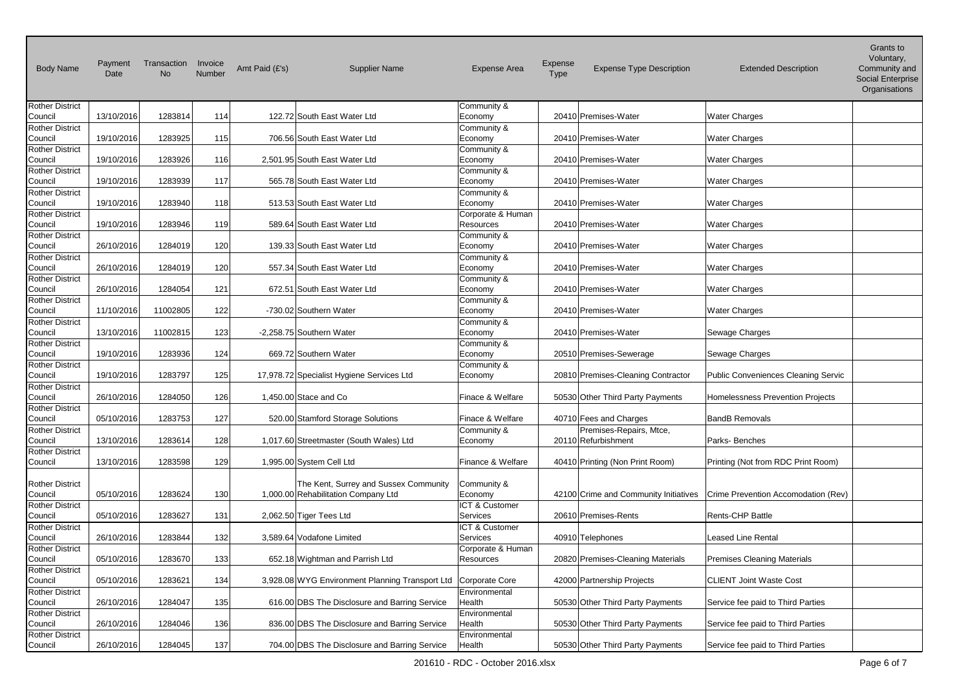| <b>Body Name</b>                  | Payment<br>Date | Transaction<br><b>No</b> | Invoice<br>Number | Amt Paid (£'s) | <b>Supplier Name</b>                            | <b>Expense Area</b>          | Expense<br>Type | <b>Expense Type Description</b>                | <b>Extended Description</b>         | Grants to<br>Voluntary,<br>Community and<br>Social Enterprise<br>Organisations |
|-----------------------------------|-----------------|--------------------------|-------------------|----------------|-------------------------------------------------|------------------------------|-----------------|------------------------------------------------|-------------------------------------|--------------------------------------------------------------------------------|
| <b>Rother District</b>            |                 |                          |                   |                |                                                 | Community &                  |                 |                                                |                                     |                                                                                |
| Council                           | 13/10/2016      | 1283814                  | 114               |                | 122.72 South East Water Ltd                     | Economy                      |                 | 20410 Premises-Water                           | <b>Water Charges</b>                |                                                                                |
| <b>Rother District</b><br>Council | 19/10/2016      | 1283925                  | 115               |                | 706.56 South East Water Ltd                     | Community &<br>Economy       |                 | 20410 Premises-Water                           | <b>Water Charges</b>                |                                                                                |
| <b>Rother District</b>            |                 |                          |                   |                |                                                 | Community &                  |                 |                                                |                                     |                                                                                |
| Council                           | 19/10/2016      | 1283926                  | 116               |                | 2,501.95 South East Water Ltd                   | Economy                      |                 | 20410 Premises-Water                           | <b>Water Charges</b>                |                                                                                |
| <b>Rother District</b>            |                 |                          |                   |                |                                                 | Community &                  |                 |                                                |                                     |                                                                                |
| Council                           | 19/10/2016      | 1283939                  | 117               |                | 565.78 South East Water Ltd                     | Economy                      |                 | 20410 Premises-Water                           | <b>Water Charges</b>                |                                                                                |
| <b>Rother District</b>            |                 |                          |                   |                |                                                 | Community &                  |                 |                                                |                                     |                                                                                |
| Council<br><b>Rother District</b> | 19/10/2016      | 1283940                  | 118               |                | 513.53 South East Water Ltd                     | Economy<br>Corporate & Human |                 | 20410 Premises-Water                           | <b>Water Charges</b>                |                                                                                |
| Council                           | 19/10/2016      | 1283946                  | 119               |                | 589.64 South East Water Ltd                     | Resources                    |                 | 20410 Premises-Water                           | <b>Water Charges</b>                |                                                                                |
| <b>Rother District</b>            |                 |                          |                   |                |                                                 | Community &                  |                 |                                                |                                     |                                                                                |
| Council                           | 26/10/2016      | 1284019                  | 120               |                | 139.33 South East Water Ltd                     | Economy                      |                 | 20410 Premises-Water                           | <b>Water Charges</b>                |                                                                                |
| <b>Rother District</b>            |                 |                          |                   |                |                                                 | Community &                  |                 |                                                |                                     |                                                                                |
| Council                           | 26/10/2016      | 1284019                  | 120               |                | 557.34 South East Water Ltd                     | Economy                      |                 | 20410 Premises-Water                           | <b>Water Charges</b>                |                                                                                |
| <b>Rother District</b><br>Council | 26/10/2016      | 1284054                  | 121               |                | 672.51 South East Water Ltd                     | Community &<br>Economy       |                 | 20410 Premises-Water                           | <b>Water Charges</b>                |                                                                                |
| <b>Rother District</b>            |                 |                          |                   |                |                                                 | Community &                  |                 |                                                |                                     |                                                                                |
| Council                           | 11/10/2016      | 11002805                 | 122               |                | -730.02 Southern Water                          | Economy                      |                 | 20410 Premises-Water                           | <b>Water Charges</b>                |                                                                                |
| <b>Rother District</b>            |                 |                          |                   |                |                                                 | Community &                  |                 |                                                |                                     |                                                                                |
| Council                           | 13/10/2016      | 11002815                 | 123               |                | -2,258.75 Southern Water                        | Economy                      |                 | 20410 Premises-Water                           | Sewage Charges                      |                                                                                |
| <b>Rother District</b>            |                 |                          |                   |                |                                                 | Community &                  |                 |                                                |                                     |                                                                                |
| Council<br><b>Rother District</b> | 19/10/2016      | 1283936                  | 124               |                | 669.72 Southern Water                           | Economy<br>Community &       |                 | 20510 Premises-Sewerage                        | Sewage Charges                      |                                                                                |
| Council                           | 19/10/2016      | 1283797                  | 125               |                | 17,978.72 Specialist Hygiene Services Ltd       | Economy                      |                 | 20810 Premises-Cleaning Contractor             | Public Conveniences Cleaning Servic |                                                                                |
| <b>Rother District</b>            |                 |                          |                   |                |                                                 |                              |                 |                                                |                                     |                                                                                |
| Council                           | 26/10/2016      | 1284050                  | 126               |                | 1,450.00 Stace and Co                           | Finace & Welfare             |                 | 50530 Other Third Party Payments               | Homelessness Prevention Projects    |                                                                                |
| <b>Rother District</b>            |                 |                          |                   |                |                                                 |                              |                 |                                                |                                     |                                                                                |
| Council                           | 05/10/2016      | 1283753                  | 127               |                | 520.00 Stamford Storage Solutions               | Finace & Welfare             |                 | 40710 Fees and Charges                         | <b>BandB Removals</b>               |                                                                                |
| <b>Rother District</b><br>Council | 13/10/2016      | 1283614                  | 128               |                | 1,017.60 Streetmaster (South Wales) Ltd         | Community &<br>Economy       |                 | Premises-Repairs, Mtce,<br>20110 Refurbishment | Parks-Benches                       |                                                                                |
| <b>Rother District</b>            |                 |                          |                   |                |                                                 |                              |                 |                                                |                                     |                                                                                |
| Council                           | 13/10/2016      | 1283598                  | 129               |                | 1,995.00 System Cell Ltd                        | Finance & Welfare            |                 | 40410 Printing (Non Print Room)                | Printing (Not from RDC Print Room)  |                                                                                |
|                                   |                 |                          |                   |                |                                                 |                              |                 |                                                |                                     |                                                                                |
| <b>Rother District</b>            |                 |                          |                   |                | The Kent, Surrey and Sussex Community           | Community &                  |                 |                                                |                                     |                                                                                |
| Council                           | 05/10/2016      | 1283624                  | 130               |                | 1,000.00 Rehabilitation Company Ltd             | Economy                      |                 | 42100 Crime and Community Initiatives          | Crime Prevention Accomodation (Rev) |                                                                                |
| <b>Rother District</b><br>Council | 05/10/2016      | 1283627                  | 131               |                | 2,062.50 Tiger Tees Ltd                         | ICT & Customer<br>Services   |                 | 20610 Premises-Rents                           | Rents-CHP Battle                    |                                                                                |
| <b>Rother District</b>            |                 |                          |                   |                |                                                 | ICT & Customer               |                 |                                                |                                     |                                                                                |
| Council                           | 26/10/2016      | 1283844                  | 132               |                | 3,589.64 Vodafone Limited                       | Services                     |                 | 40910 Telephones                               | Leased Line Rental                  |                                                                                |
| <b>Rother District</b>            |                 |                          |                   |                |                                                 | Corporate & Human            |                 |                                                |                                     |                                                                                |
| Council                           | 05/10/2016      | 1283670                  | 133               |                | 652.18 Wightman and Parrish Ltd                 | Resources                    |                 | 20820 Premises-Cleaning Materials              | Premises Cleaning Materials         |                                                                                |
| <b>Rother District</b>            |                 |                          |                   |                |                                                 |                              |                 |                                                |                                     |                                                                                |
| Council                           | 05/10/2016      | 1283621                  | 134               |                | 3,928.08 WYG Environment Planning Transport Ltd | Corporate Core               |                 | 42000 Partnership Projects                     | <b>CLIENT Joint Waste Cost</b>      |                                                                                |
| <b>Rother District</b><br>Council | 26/10/2016      | 1284047                  | 135               |                | 616.00 DBS The Disclosure and Barring Service   | Environmental<br>Health      |                 | 50530 Other Third Party Payments               | Service fee paid to Third Parties   |                                                                                |
| <b>Rother District</b>            |                 |                          |                   |                |                                                 | Environmental                |                 |                                                |                                     |                                                                                |
| Council                           | 26/10/2016      | 1284046                  | 136               |                | 836.00 DBS The Disclosure and Barring Service   | Health                       |                 | 50530 Other Third Party Payments               | Service fee paid to Third Parties   |                                                                                |
| <b>Rother District</b>            |                 |                          |                   |                |                                                 | Environmental                |                 |                                                |                                     |                                                                                |
| Council                           | 26/10/2016      | 1284045                  | 137               |                | 704.00 DBS The Disclosure and Barring Service   | Health                       |                 | 50530 Other Third Party Payments               | Service fee paid to Third Parties   |                                                                                |